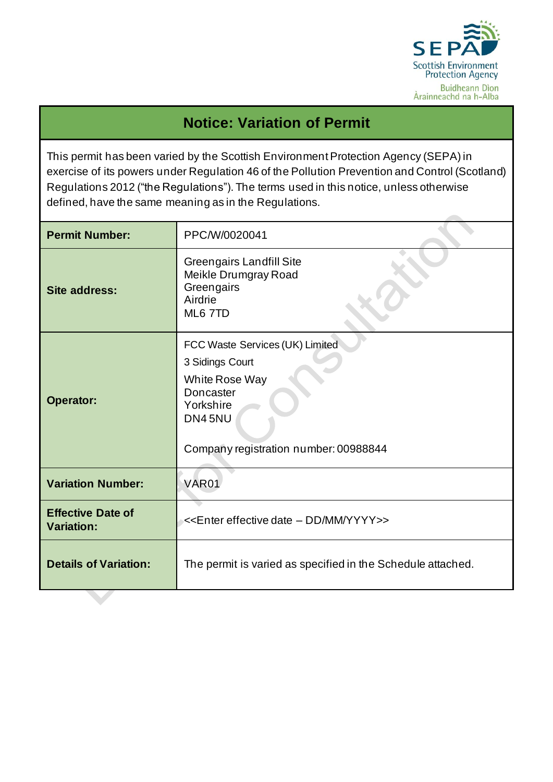

## **Notice: Variation of Permit**

This permit has been varied by the Scottish Environment Protection Agency (SEPA) in exercise of its powers under Regulation 46 of the Pollution Prevention and Control (Scotland) Regulations 2012 ("the Regulations"). The terms used in this notice, unless otherwise defined, have the same meaning as in the Regulations.

| <b>Permit Number:</b>                         | PPC/W/0020041                                                                                                                                     |  |
|-----------------------------------------------|---------------------------------------------------------------------------------------------------------------------------------------------------|--|
| <b>Site address:</b>                          | <b>Greengairs Landfill Site</b><br>Meikle Drumgray Road<br>Greengairs<br>Airdrie<br>ML6 7TD                                                       |  |
| <b>Operator:</b>                              | FCC Waste Services (UK) Limited<br>3 Sidings Court<br>White Rose Way<br>Doncaster<br>Yorkshire<br>DN45NU<br>Company registration number: 00988844 |  |
| <b>Variation Number:</b>                      | <b>VAR01</b>                                                                                                                                      |  |
| <b>Effective Date of</b><br><b>Variation:</b> | < <enter -="" date="" dd="" effective="" mm="" yyyy="">&gt;</enter>                                                                               |  |
| <b>Details of Variation:</b>                  | The permit is varied as specified in the Schedule attached.                                                                                       |  |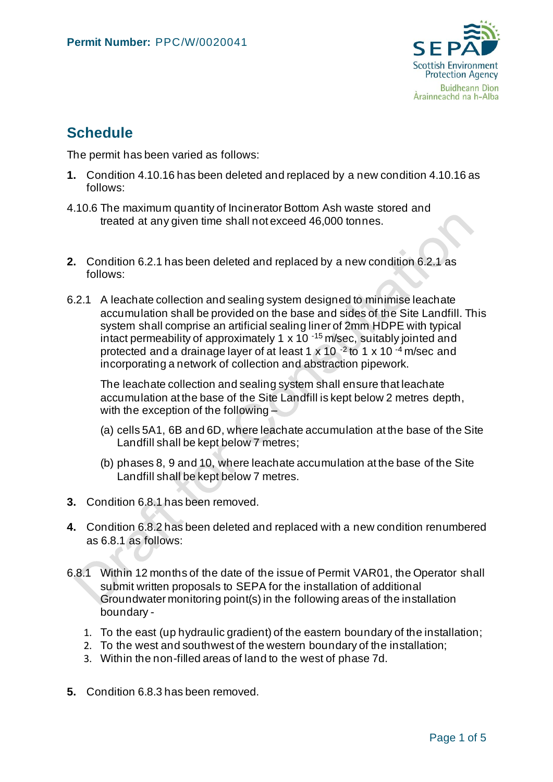

## **Schedule**

The permit has been varied as follows:

- **1.** Condition 4.10.16 has been deleted and replaced by a new condition 4.10.16 as follows:
- 4.10.6 The maximum quantity of Incinerator Bottom Ash waste stored and treated at any given time shall not exceed 46,000 tonnes.
- **2.** Condition 6.2.1 has been deleted and replaced by a new condition 6.2.1 as follows:
- 6.2.1 A leachate collection and sealing system designed to minimise leachate accumulation shall be provided on the base and sides of the Site Landfill. This system shall comprise an artificial sealing liner of 2mm HDPE with typical intact permeability of approximately 1 x 10 $-15$  m/sec, suitably jointed and protected and a drainage layer of at least 1 x 10<sup>-2</sup> to 1 x 10<sup>-4</sup> m/sec and incorporating a network of collection and abstraction pipework.

The leachate collection and sealing system shall ensure that leachate accumulation at the base of the Site Landfill is kept below 2 metres depth, with the exception of the following  $-$ 

- (a) cells 5A1, 6B and 6D, where leachate accumulation at the base of the Site Landfill shall be kept below 7 metres;
- (b) phases 8, 9 and 10, where leachate accumulation at the base of the Site Landfill shall be kept below 7 metres.
- **3.** Condition 6.8.1 has been removed.
- **4.** Condition 6.8.2 has been deleted and replaced with a new condition renumbered as 6.8.1 as follows:
- 6.8.1 Within 12 months of the date of the issue of Permit VAR01, the Operator shall submit written proposals to SEPA for the installation of additional Groundwater monitoring point(s) in the following areas of the installation boundary -
	- 1. To the east (up hydraulic gradient) of the eastern boundary of the installation;
	- 2. To the west and southwest of the western boundary of the installation;
	- 3. Within the non-filled areas of land to the west of phase 7d.
- **5.** Condition 6.8.3 has been removed.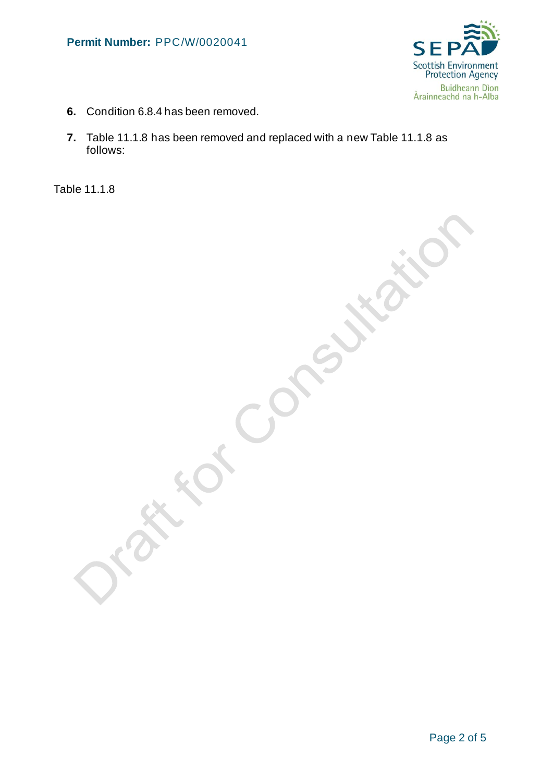

- **6.** Condition 6.8.4 has been removed.
- **7.** Table 11.1.8 has been removed and replaced with a new Table 11.1.8 as follows:

Table 11.1.8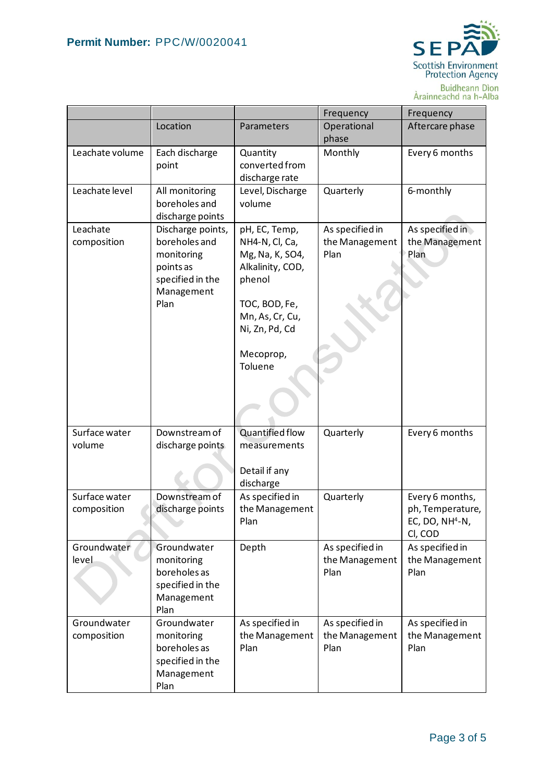

Buidheann Dìon<br>Àrainneachd na h-Alba

|                              |                                                                                                         |                                                                                                                                                                | Frequency                                 | Frequency                                                           |
|------------------------------|---------------------------------------------------------------------------------------------------------|----------------------------------------------------------------------------------------------------------------------------------------------------------------|-------------------------------------------|---------------------------------------------------------------------|
|                              | Location                                                                                                | Parameters                                                                                                                                                     | Operational<br>phase                      | Aftercare phase                                                     |
| Leachate volume              | Each discharge<br>point                                                                                 | Quantity<br>converted from<br>discharge rate                                                                                                                   | Monthly                                   | Every 6 months                                                      |
| Leachate level               | All monitoring<br>boreholes and<br>discharge points                                                     | Level, Discharge<br>volume                                                                                                                                     | Quarterly                                 | 6-monthly                                                           |
| Leachate<br>composition      | Discharge points,<br>boreholes and<br>monitoring<br>points as<br>specified in the<br>Management<br>Plan | pH, EC, Temp,<br>NH4-N, Cl, Ca,<br>Mg, Na, K, SO4,<br>Alkalinity, COD,<br>phenol<br>TOC, BOD, Fe,<br>Mn, As, Cr, Cu,<br>Ni, Zn, Pd, Cd<br>Mecoprop,<br>Toluene | As specified in<br>the Management<br>Plan | As specified in<br>the Management<br>Plan                           |
| Surface water<br>volume      | Downstream of<br>discharge points                                                                       | Quantified flow<br>measurements<br>Detail if any<br>discharge                                                                                                  | Quarterly                                 | Every 6 months                                                      |
| Surface water<br>composition | Downstream of<br>discharge points                                                                       | As specified in<br>the Management<br>Plan                                                                                                                      | Quarterly                                 | Every 6 months,<br>ph, Temperature,<br>EC, DO, $NH4-N$ ,<br>CI, COD |
| Groundwater<br>level         | Groundwater<br>monitoring<br>boreholes as<br>specified in the<br>Management<br>Plan                     | Depth                                                                                                                                                          | As specified in<br>the Management<br>Plan | As specified in<br>the Management<br>Plan                           |
| Groundwater<br>composition   | Groundwater<br>monitoring<br>boreholes as<br>specified in the<br>Management<br>Plan                     | As specified in<br>the Management<br>Plan                                                                                                                      | As specified in<br>the Management<br>Plan | As specified in<br>the Management<br>Plan                           |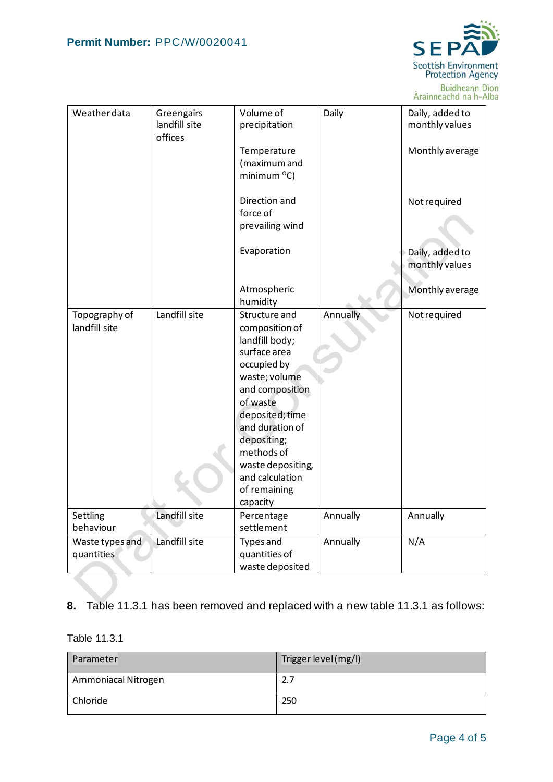

Buidheann Dìon<br>Àrainneachd na h-Alba

| Weather data                   | Greengairs<br>landfill site<br>offices | Volume of<br>precipitation                                                                                                                                                                                                                                              | Daily    | Daily, added to<br>monthly values |
|--------------------------------|----------------------------------------|-------------------------------------------------------------------------------------------------------------------------------------------------------------------------------------------------------------------------------------------------------------------------|----------|-----------------------------------|
|                                |                                        | Temperature<br>(maximum and<br>minimum $^{\circ}$ C)                                                                                                                                                                                                                    |          | Monthly average                   |
|                                |                                        | Direction and<br>force of<br>prevailing wind                                                                                                                                                                                                                            |          | Not required                      |
|                                |                                        | Evaporation                                                                                                                                                                                                                                                             |          | Daily, added to<br>monthly values |
|                                |                                        | Atmospheric<br>humidity                                                                                                                                                                                                                                                 |          | Monthly average                   |
| Topography of<br>landfill site | Landfill site                          | Structure and<br>composition of<br>landfill body;<br>surface area<br>occupied by<br>waste; volume<br>and composition<br>of waste<br>deposited; time<br>and duration of<br>depositing;<br>methods of<br>waste depositing,<br>and calculation<br>of remaining<br>capacity | Annually | Not required                      |
| Settling<br>behaviour          | Landfill site                          | Percentage<br>settlement                                                                                                                                                                                                                                                | Annually | Annually                          |
| Waste types and<br>quantities  | Landfill site                          | <b>Types</b> and<br>quantities of<br>waste deposited                                                                                                                                                                                                                    | Annually | N/A                               |

## **8.** Table 11.3.1 has been removed and replaced with a new table 11.3.1 as follows:

Table 11.3.1

| Parameter           | Trigger level (mg/l) |
|---------------------|----------------------|
| Ammoniacal Nitrogen | 2.7                  |
| Chloride            | 250                  |